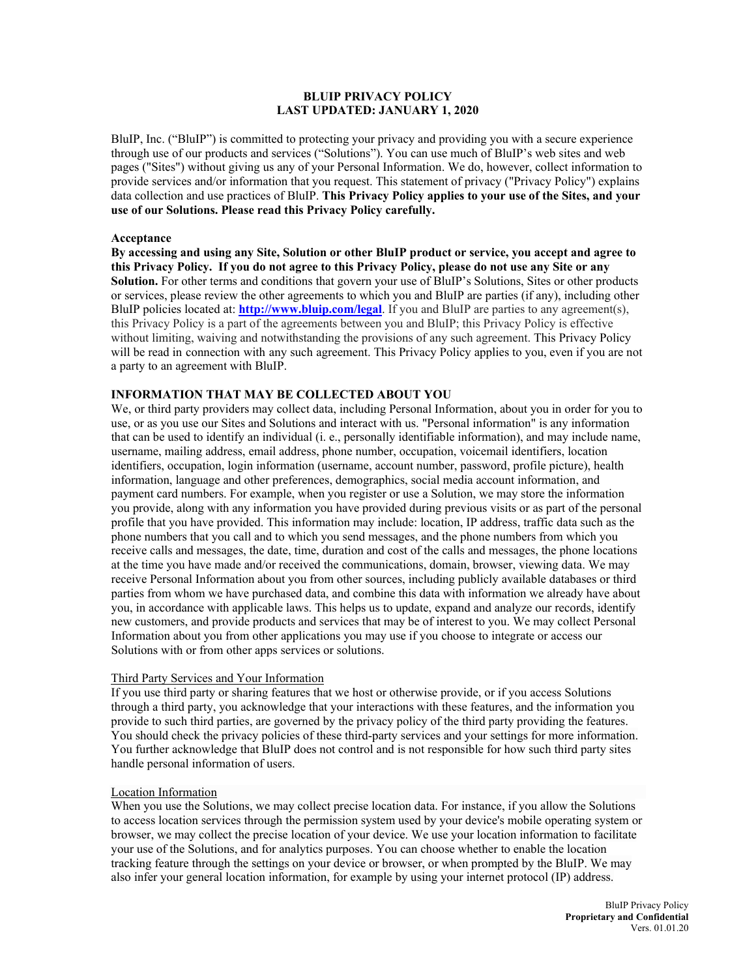### **BLUIP PRIVACY POLICY LAST UPDATED: JANUARY 1, 2020**

BluIP, Inc. ("BluIP") is committed to protecting your privacy and providing you with a secure experience through use of our products and services ("Solutions"). You can use much of BluIP's web sites and web pages ("Sites") without giving us any of your Personal Information. We do, however, collect information to provide services and/or information that you request. This statement of privacy ("Privacy Policy") explains data collection and use practices of BluIP. **This Privacy Policy applies to your use of the Sites, and your use of our Solutions. Please read this Privacy Policy carefully.**

#### **Acceptance**

**By accessing and using any Site, Solution or other BluIP product or service, you accept and agree to this Privacy Policy. If you do not agree to this Privacy Policy, please do not use any Site or any Solution.** For other terms and conditions that govern your use of BluIP's Solutions, Sites or other products or services, please review the other agreements to which you and BluIP are parties (if any), including other BluIP policies located at: **<http://www.bluip.com/legal>**. If you and BluIP are parties to any agreement(s), this Privacy Policy is a part of the agreements between you and BluIP; this Privacy Policy is effective without limiting, waiving and notwithstanding the provisions of any such agreement. This Privacy Policy will be read in connection with any such agreement. This Privacy Policy applies to you, even if you are not a party to an agreement with BluIP.

#### **INFORMATION THAT MAY BE COLLECTED ABOUT YOU**

We, or third party providers may collect data, including Personal Information, about you in order for you to use, or as you use our Sites and Solutions and interact with us. "Personal information" is any information that can be used to identify an individual (i. e., personally identifiable information), and may include name, username, mailing address, email address, phone number, occupation, voicemail identifiers, location identifiers, occupation, login information (username, account number, password, profile picture), health information, language and other preferences, demographics, social media account information, and payment card numbers. For example, when you register or use a Solution, we may store the information you provide, along with any information you have provided during previous visits or as part of the personal profile that you have provided. This information may include: location, IP address, traffic data such as the phone numbers that you call and to which you send messages, and the phone numbers from which you receive calls and messages, the date, time, duration and cost of the calls and messages, the phone locations at the time you have made and/or received the communications, domain, browser, viewing data. We may receive Personal Information about you from other sources, including publicly available databases or third parties from whom we have purchased data, and combine this data with information we already have about you, in accordance with applicable laws. This helps us to update, expand and analyze our records, identify new customers, and provide products and services that may be of interest to you. We may collect Personal Information about you from other applications you may use if you choose to integrate or access our Solutions with or from other apps services or solutions.

#### Third Party Services and Your Information

If you use third party or sharing features that we host or otherwise provide, or if you access Solutions through a third party, you acknowledge that your interactions with these features, and the information you provide to such third parties, are governed by the privacy policy of the third party providing the features. You should check the privacy policies of these third-party services and your settings for more information. You further acknowledge that BluIP does not control and is not responsible for how such third party sites handle personal information of users.

#### Location Information

When you use the Solutions, we may collect precise location data. For instance, if you allow the Solutions to access location services through the permission system used by your device's mobile operating system or browser, we may collect the precise location of your device. We use your location information to facilitate your use of the Solutions, and for analytics purposes. You can choose whether to enable the location tracking feature through the settings on your device or browser, or when prompted by the BluIP. We may also infer your general location information, for example by using your internet protocol (IP) address.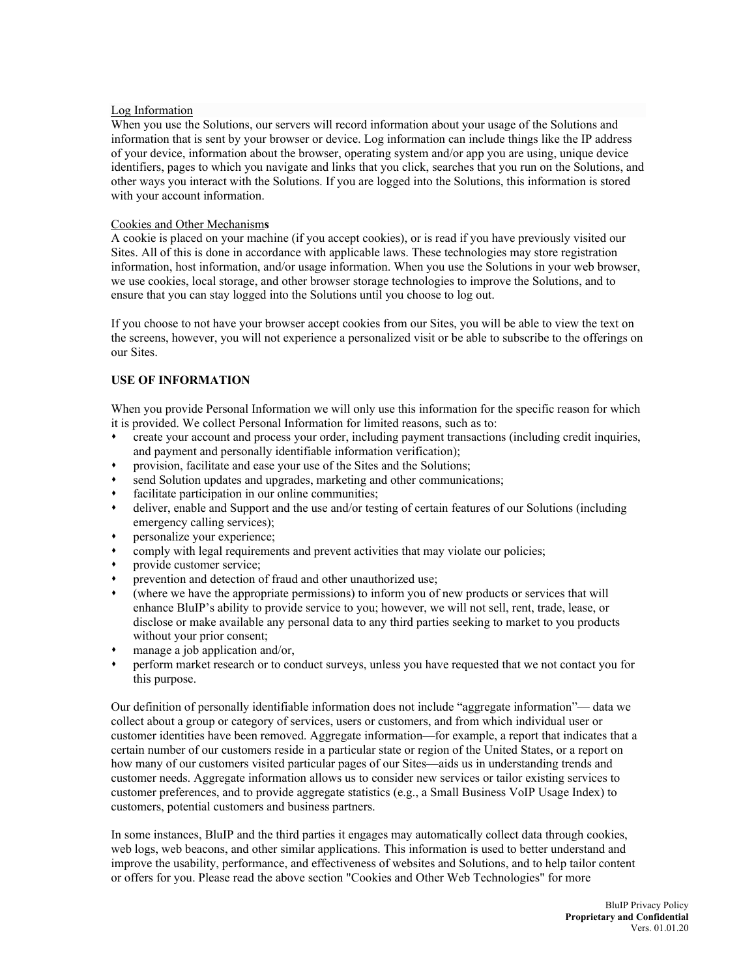### Log Information

When you use the Solutions, our servers will record information about your usage of the Solutions and information that is sent by your browser or device. Log information can include things like the IP address of your device, information about the browser, operating system and/or app you are using, unique device identifiers, pages to which you navigate and links that you click, searches that you run on the Solutions, and other ways you interact with the Solutions. If you are logged into the Solutions, this information is stored with your account information.

## Cookies and Other Mechanism**s**

A cookie is placed on your machine (if you accept cookies), or is read if you have previously visited our Sites. All of this is done in accordance with applicable laws. These technologies may store registration information, host information, and/or usage information. When you use the Solutions in your web browser, we use cookies, local storage, and other browser storage technologies to improve the Solutions, and to ensure that you can stay logged into the Solutions until you choose to log out.

If you choose to not have your browser accept cookies from our Sites, you will be able to view the text on the screens, however, you will not experience a personalized visit or be able to subscribe to the offerings on our Sites.

# **USE OF INFORMATION**

When you provide Personal Information we will only use this information for the specific reason for which it is provided. We collect Personal Information for limited reasons, such as to:

- create your account and process your order, including payment transactions (including credit inquiries, and payment and personally identifiable information verification);
- provision, facilitate and ease your use of the Sites and the Solutions;
- send Solution updates and upgrades, marketing and other communications;
- facilitate participation in our online communities;
- deliver, enable and Support and the use and/or testing of certain features of our Solutions (including emergency calling services);
- personalize your experience;
- comply with legal requirements and prevent activities that may violate our policies;
- provide customer service;
- prevention and detection of fraud and other unauthorized use;
- (where we have the appropriate permissions) to inform you of new products or services that will enhance BluIP's ability to provide service to you; however, we will not sell, rent, trade, lease, or disclose or make available any personal data to any third parties seeking to market to you products without your prior consent;
- manage a job application and/or,
- perform market research or to conduct surveys, unless you have requested that we not contact you for this purpose.

Our definition of personally identifiable information does not include "aggregate information"— data we collect about a group or category of services, users or customers, and from which individual user or customer identities have been removed. Aggregate information—for example, a report that indicates that a certain number of our customers reside in a particular state or region of the United States, or a report on how many of our customers visited particular pages of our Sites—aids us in understanding trends and customer needs. Aggregate information allows us to consider new services or tailor existing services to customer preferences, and to provide aggregate statistics (e.g., a Small Business VoIP Usage Index) to customers, potential customers and business partners.

In some instances, BluIP and the third parties it engages may automatically collect data through cookies, web logs, web beacons, and other similar applications. This information is used to better understand and improve the usability, performance, and effectiveness of websites and Solutions, and to help tailor content or offers for you. Please read the above section "Cookies and Other Web Technologies" for more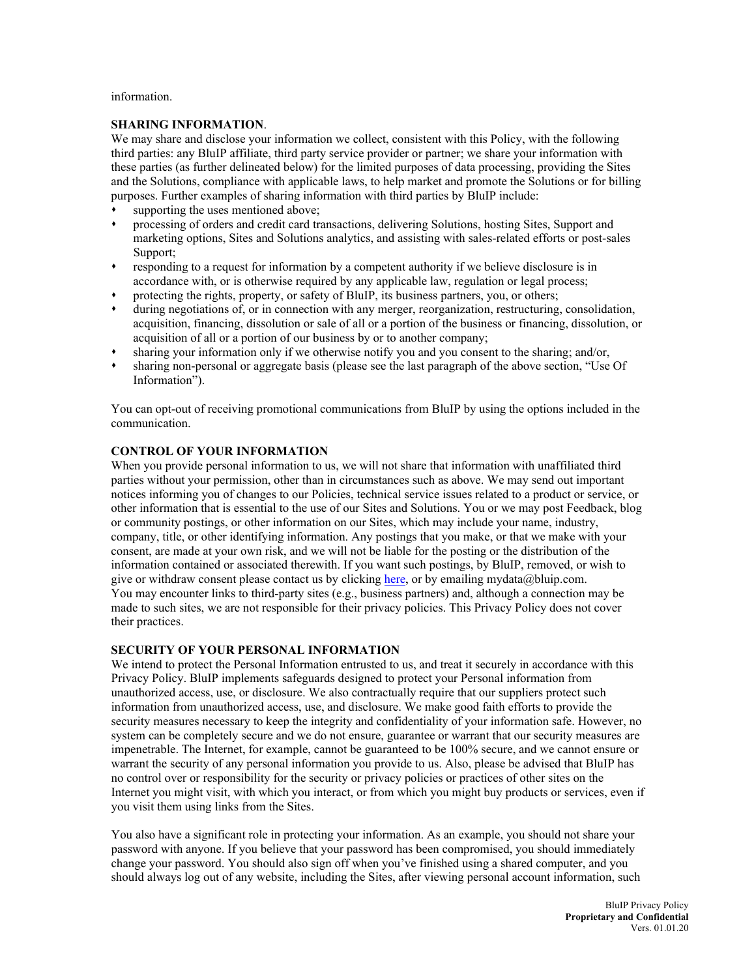information.

## **SHARING INFORMATION**.

We may share and disclose your information we collect, consistent with this Policy, with the following third parties: any BluIP affiliate, third party service provider or partner; we share your information with these parties (as further delineated below) for the limited purposes of data processing, providing the Sites and the Solutions, compliance with applicable laws, to help market and promote the Solutions or for billing purposes. Further examples of sharing information with third parties by BluIP include:

- supporting the uses mentioned above;
- processing of orders and credit card transactions, delivering Solutions, hosting Sites, Support and marketing options, Sites and Solutions analytics, and assisting with sales-related efforts or post-sales Support;
- responding to a request for information by a competent authority if we believe disclosure is in accordance with, or is otherwise required by any applicable law, regulation or legal process;
- protecting the rights, property, or safety of BluIP, its business partners, you, or others;
- during negotiations of, or in connection with any merger, reorganization, restructuring, consolidation, acquisition, financing, dissolution or sale of all or a portion of the business or financing, dissolution, or acquisition of all or a portion of our business by or to another company;
- sharing your information only if we otherwise notify you and you consent to the sharing; and/or,
- sharing non-personal or aggregate basis (please see the last paragraph of the above section, "Use Of Information").

You can opt-out of receiving promotional communications from BluIP by using the options included in the communication.

# **CONTROL OF YOUR INFORMATION**

When you provide personal information to us, we will not share that information with unaffiliated third parties without your permission, other than in circumstances such as above. We may send out important notices informing you of changes to our Policies, technical service issues related to a product or service, or other information that is essential to the use of our Sites and Solutions. You or we may post Feedback, blog or community postings, or other information on our Sites, which may include your name, industry, company, title, or other identifying information. Any postings that you make, or that we make with your consent, are made at your own risk, and we will not be liable for the posting or the distribution of the information contained or associated therewith. If you want such postings, by BluIP, removed, or wish to give or withdraw consent please contact us by clicking [here,](https://www.blup.com/company/legal/mydata) or by emailing mydata@bluip.com. You may encounter links to third-party sites (e.g., business partners) and, although a connection may be made to such sites, we are not responsible for their privacy policies. This Privacy Policy does not cover their practices.

# **SECURITY OF YOUR PERSONAL INFORMATION**

We intend to protect the Personal Information entrusted to us, and treat it securely in accordance with this Privacy Policy. BluIP implements safeguards designed to protect your Personal information from unauthorized access, use, or disclosure. We also contractually require that our suppliers protect such information from unauthorized access, use, and disclosure. We make good faith efforts to provide the security measures necessary to keep the integrity and confidentiality of your information safe. However, no system can be completely secure and we do not ensure, guarantee or warrant that our security measures are impenetrable. The Internet, for example, cannot be guaranteed to be 100% secure, and we cannot ensure or warrant the security of any personal information you provide to us. Also, please be advised that BluIP has no control over or responsibility for the security or privacy policies or practices of other sites on the Internet you might visit, with which you interact, or from which you might buy products or services, even if you visit them using links from the Sites.

You also have a significant role in protecting your information. As an example, you should not share your password with anyone. If you believe that your password has been compromised, you should immediately change your password. You should also sign off when you've finished using a shared computer, and you should always log out of any website, including the Sites, after viewing personal account information, such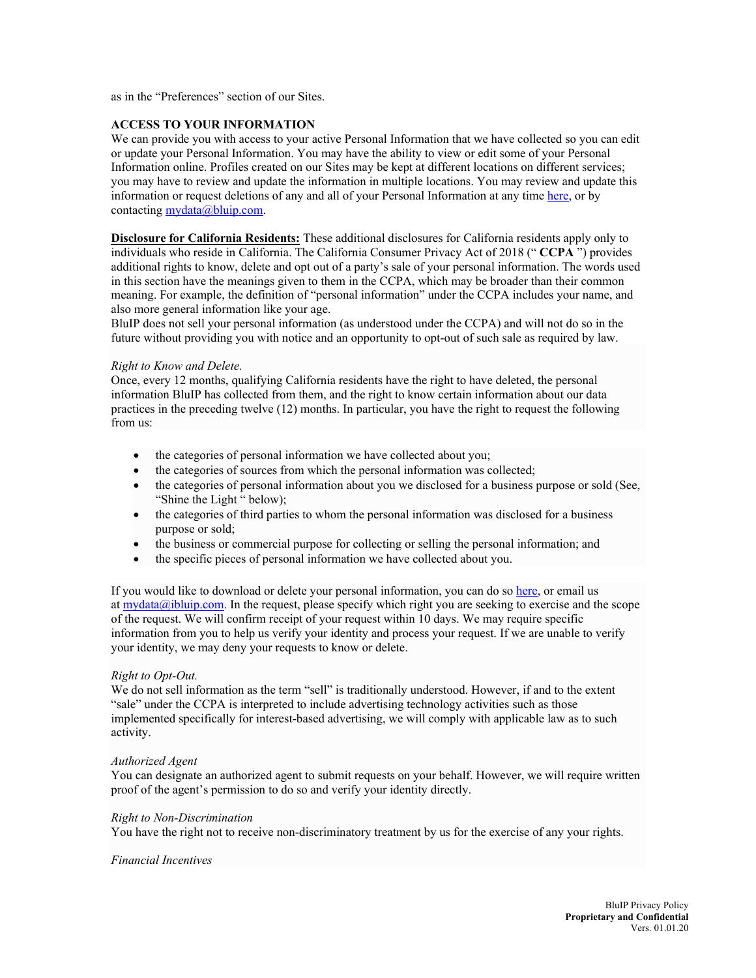as in the "Preferences" section of our Sites.

## **ACCESS TO YOUR INFORMATION**

We can provide you with access to your active Personal Information that we have collected so you can edit or update your Personal Information. You may have the ability to view or edit some of your Personal Information online. Profiles created on our Sites may be kept at different locations on different services; you may have to review and update the information in multiple locations. You may review and update this information or request deletions of any and all of your Personal Information at any time [here,](https://www.blup.com/company/legal/mydata) or by contacting [mydata@bluip.com.](mailto:mydata@bluip.com)

**Disclosure for California Residents:** These additional disclosures for California residents apply only to individuals who reside in California. The California Consumer Privacy Act of 2018 (" **CCPA** ") provides additional rights to know, delete and opt out of a party's sale of your personal information. The words used in this section have the meanings given to them in the CCPA, which may be broader than their common meaning. For example, the definition of "personal information" under the CCPA includes your name, and also more general information like your age.

BluIP does not sell your personal information (as understood under the CCPA) and will not do so in the future without providing you with notice and an opportunity to opt-out of such sale as required by law.

#### *Right to Know and Delete.*

Once, every 12 months, qualifying California residents have the right to have deleted, the personal information BluIP has collected from them, and the right to know certain information about our data practices in the preceding twelve (12) months. In particular, you have the right to request the following from us:

- the categories of personal information we have collected about you;
- the categories of sources from which the personal information was collected;
- the categories of personal information about you we disclosed for a business purpose or sold (See, "Shine the Light " below);
- the categories of third parties to whom the personal information was disclosed for a business purpose or sold;
- the business or commercial purpose for collecting or selling the personal information; and
- the specific pieces of personal information we have collected about you.

If you would like to download or delete your personal information, you can do so [here,](https://www.blup.com/company/legal/mydata) or email us at  $mydata@jbluip.com$ . In the request, please specify which right you are seeking to exercise and the scope of the request. We will confirm receipt of your request within 10 days. We may require specific information from you to help us verify your identity and process your request. If we are unable to verify your identity, we may deny your requests to know or delete.

#### *Right to Opt-Out.*

We do not sell information as the term "sell" is traditionally understood. However, if and to the extent "sale" under the CCPA is interpreted to include advertising technology activities such as those implemented specifically for interest-based advertising, we will comply with applicable law as to such activity.

#### *Authorized Agent*

You can designate an authorized agent to submit requests on your behalf. However, we will require written proof of the agent's permission to do so and verify your identity directly.

#### *Right to Non-Discrimination*

You have the right not to receive non-discriminatory treatment by us for the exercise of any your rights.

#### *Financial Incentives*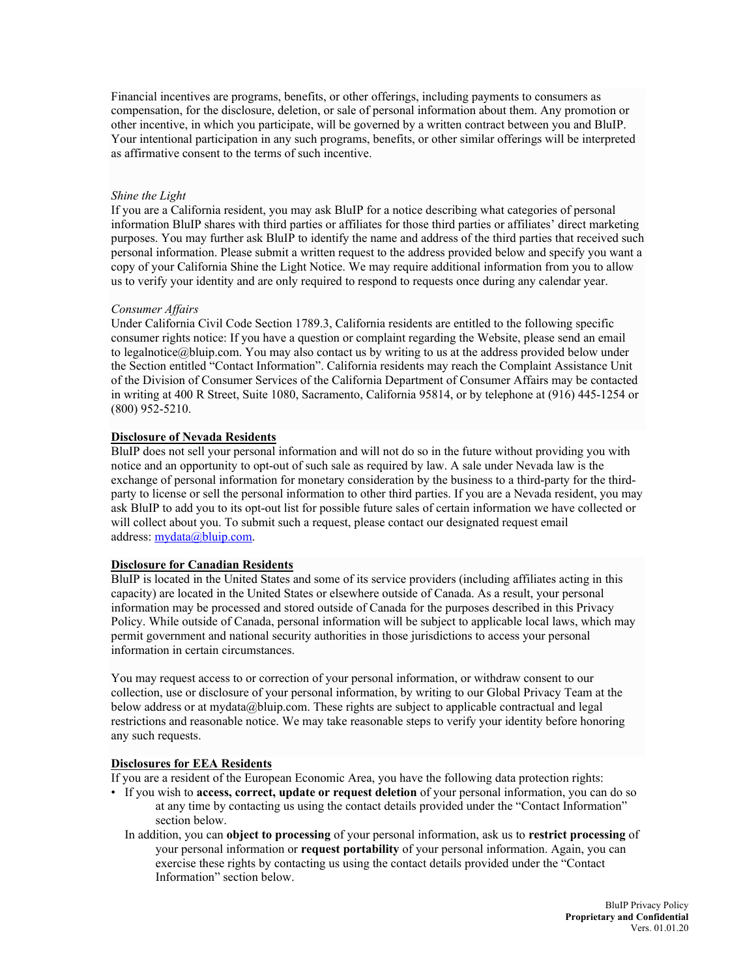Financial incentives are programs, benefits, or other offerings, including payments to consumers as compensation, for the disclosure, deletion, or sale of personal information about them. Any promotion or other incentive, in which you participate, will be governed by a written contract between you and BluIP. Your intentional participation in any such programs, benefits, or other similar offerings will be interpreted as affirmative consent to the terms of such incentive.

### *Shine the Light*

If you are a California resident, you may ask BluIP for a notice describing what categories of personal information BluIP shares with third parties or affiliates for those third parties or affiliates' direct marketing purposes. You may further ask BluIP to identify the name and address of the third parties that received such personal information. Please submit a written request to the address provided below and specify you want a copy of your California Shine the Light Notice. We may require additional information from you to allow us to verify your identity and are only required to respond to requests once during any calendar year.

### *Consumer Affairs*

Under California Civil Code Section 1789.3, California residents are entitled to the following specific consumer rights notice: If you have a question or complaint regarding the Website, please send an email to [legalnotice@bluip.com.](mailto:legalnotice@instacart.com) You may also contact us by writing to us at the address provided below under the Section entitled "Contact Information". California residents may reach the Complaint Assistance Unit of the Division of Consumer Services of the California Department of Consumer Affairs may be contacted in writing at 400 R Street, Suite 1080, Sacramento, California 95814, or by telephone at (916) 445-1254 or (800) 952-5210.

### **Disclosure of Nevada Residents**

BluIP does not sell your personal information and will not do so in the future without providing you with notice and an opportunity to opt-out of such sale as required by law. A sale under Nevada law is the exchange of personal information for monetary consideration by the business to a third-party for the thirdparty to license or sell the personal information to other third parties. If you are a Nevada resident, you may ask BluIP to add you to its opt-out list for possible future sales of certain information we have collected or will collect about you. To submit such a request, please contact our designated request email address: [mydata@bluip.com.](mailto:mydata@bluip.com)

## **Disclosure for Canadian Residents**

BluIP is located in the United States and some of its service providers (including affiliates acting in this capacity) are located in the United States or elsewhere outside of Canada. As a result, your personal information may be processed and stored outside of Canada for the purposes described in this Privacy Policy. While outside of Canada, personal information will be subject to applicable local laws, which may permit government and national security authorities in those jurisdictions to access your personal information in certain circumstances.

You may request access to or correction of your personal information, or withdraw consent to our collection, use or disclosure of your personal information, by writing to our Global Privacy Team at the below address or at mydata@bluip.com. These rights are subject to applicable contractual and legal restrictions and reasonable notice. We may take reasonable steps to verify your identity before honoring any such requests.

## **Disclosures for EEA Residents**

If you are a resident of the European Economic Area, you have the following data protection rights:

- If you wish to **access, correct, update or request deletion** of your personal information, you can do so at any time by contacting us using the contact details provided under the ["Contact Information"](http://www.averydennison.com/en/home/legal-and-privacy-notices1.html#1) section below.
	- In addition, you can **object to processing** of your personal information, ask us to **restrict processing** of your personal information or **request portability** of your personal information. Again, you can exercise these rights by contacting us using the contact details provided under the "Contact Information" section below.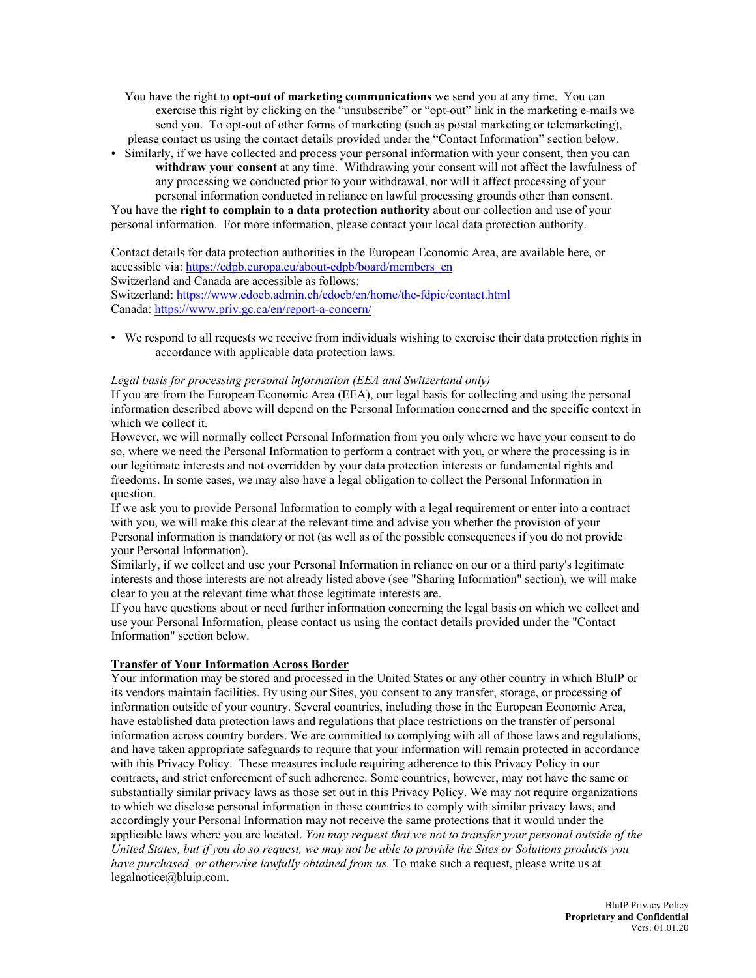You have the right to **opt-out of marketing communications** we send you at any time. You can exercise this right by clicking on the "unsubscribe" or "opt-out" link in the marketing e-mails we send you. To opt-out of other forms of marketing (such as postal marketing or telemarketing), please contact us using the contact details provided under the ["Contact Information"](http://www.averydennison.com/en/home/legal-and-privacy-notices1.html#1) section below.

• Similarly, if we have collected and process your personal information with your consent, then you can **withdraw your consent** at any time. Withdrawing your consent will not affect the lawfulness of any processing we conducted prior to your withdrawal, nor will it affect processing of your personal information conducted in reliance on lawful processing grounds other than consent. You have the **right to complain to a data protection authority** about our collection and use of your

personal information. For more information, please contact your local data protection authority.

Contact details for data protection authorities in the European Economic Area, are available [here,](http://ec.europa.eu/justice/data-protection/article-29/structure/data-protection-authorities/index_en.htm) or accessible via[: https://edpb.europa.eu/about-edpb/board/members\\_en](https://edpb.europa.eu/about-edpb/board/members_en) Switzerland and Canada are accessible as follows: Switzerland:<https://www.edoeb.admin.ch/edoeb/en/home/the-fdpic/contact.html> Canada:<https://www.priv.gc.ca/en/report-a-concern/>

• We respond to all requests we receive from individuals wishing to exercise their data protection rights in accordance with applicable data protection laws.

## *Legal basis for processing personal information (EEA and Switzerland only)*

If you are from the European Economic Area (EEA), our legal basis for collecting and using the personal information described above will depend on the Personal Information concerned and the specific context in which we collect it.

However, we will normally collect Personal Information from you only where we have your consent to do so, where we need the Personal Information to perform a contract with you, or where the processing is in our legitimate interests and not overridden by your data protection interests or fundamental rights and freedoms. In some cases, we may also have a legal obligation to collect the Personal Information in question.

If we ask you to provide Personal Information to comply with a legal requirement or enter into a contract with you, we will make this clear at the relevant time and advise you whether the provision of your Personal information is mandatory or not (as well as of the possible consequences if you do not provide your Personal Information).

Similarly, if we collect and use your Personal Information in reliance on our or a third party's legitimate interests and those interests are not already listed above (see "Sharing Information" section), we will make clear to you at the relevant time what those legitimate interests are.

If you have questions about or need further information concerning the legal basis on which we collect and use your Personal Information, please contact us using the contact details provided under the "Contact Information" section below.

# **Transfer of Your Information Across Border**

Your information may be stored and processed in the United States or any other country in which BluIP or its vendors maintain facilities. By using our Sites, you consent to any transfer, storage, or processing of information outside of your country. Several countries, including those in the European Economic Area, have established data protection laws and regulations that place restrictions on the transfer of personal information across country borders. We are committed to complying with all of those laws and regulations, and have taken appropriate safeguards to require that your information will remain protected in accordance with this Privacy Policy. These measures include requiring adherence to this Privacy Policy in our contracts, and strict enforcement of such adherence. Some countries, however, may not have the same or substantially similar privacy laws as those set out in this Privacy Policy. We may not require organizations to which we disclose personal information in those countries to comply with similar privacy laws, and accordingly your Personal Information may not receive the same protections that it would under the applicable laws where you are located. *You may request that we not to transfer your personal outside of the United States, but if you do so request, we may not be able to provide the Sites or Solutions products you have purchased, or otherwise lawfully obtained from us.* To make such a request, please write us at [legalnotice@bluip.com.](mailto:legalnotice@bluip.com)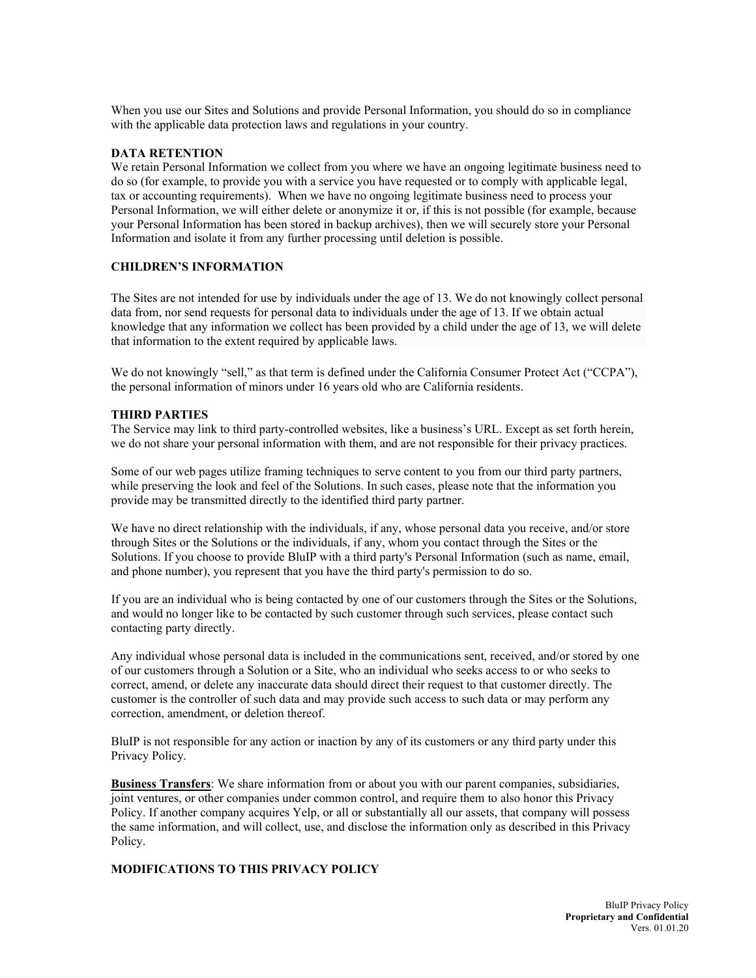When you use our Sites and Solutions and provide Personal Information, you should do so in compliance with the applicable data protection laws and regulations in your country.

## **DATA RETENTION**

We retain Personal Information we collect from you where we have an ongoing legitimate business need to do so (for example, to provide you with a service you have requested or to comply with applicable legal, tax or accounting requirements). When we have no ongoing legitimate business need to process your Personal Information, we will either delete or anonymize it or, if this is not possible (for example, because your Personal Information has been stored in backup archives), then we will securely store your Personal Information and isolate it from any further processing until deletion is possible.

### **CHILDREN'S INFORMATION**

The Sites are not intended for use by individuals under the age of 13. We do not knowingly collect personal data from, nor send requests for personal data to individuals under the age of 13. If we obtain actual knowledge that any information we collect has been provided by a child under the age of 13, we will delete that information to the extent required by applicable laws.

We do not knowingly "sell," as that term is defined under the California Consumer Protect Act ("CCPA"), the personal information of minors under 16 years old who are California residents.

### **THIRD PARTIES**

The Service may link to third party-controlled websites, like a business's URL. Except as set forth herein, we do not share your personal information with them, and are not responsible for their privacy practices.

Some of our web pages utilize framing techniques to serve content to you from our third party partners, while preserving the look and feel of the Solutions. In such cases, please note that the information you provide may be transmitted directly to the identified third party partner.

We have no direct relationship with the individuals, if any, whose personal data you receive, and/or store through Sites or the Solutions or the individuals, if any, whom you contact through the Sites or the Solutions. If you choose to provide BluIP with a third party's Personal Information (such as name, email, and phone number), you represent that you have the third party's permission to do so.

If you are an individual who is being contacted by one of our customers through the Sites or the Solutions, and would no longer like to be contacted by such customer through such services, please contact such contacting party directly.

Any individual whose personal data is included in the communications sent, received, and/or stored by one of our customers through a Solution or a Site, who an individual who seeks access to or who seeks to correct, amend, or delete any inaccurate data should direct their request to that customer directly. The customer is the controller of such data and may provide such access to such data or may perform any correction, amendment, or deletion thereof.

BluIP is not responsible for any action or inaction by any of its customers or any third party under this Privacy Policy.

**Business Transfers**: We share information from or about you with our parent companies, subsidiaries, joint ventures, or other companies under common control, and require them to also honor this Privacy Policy. If another company acquires Yelp, or all or substantially all our assets, that company will possess the same information, and will collect, use, and disclose the information only as described in this Privacy Policy.

# **MODIFICATIONS TO THIS PRIVACY POLICY**